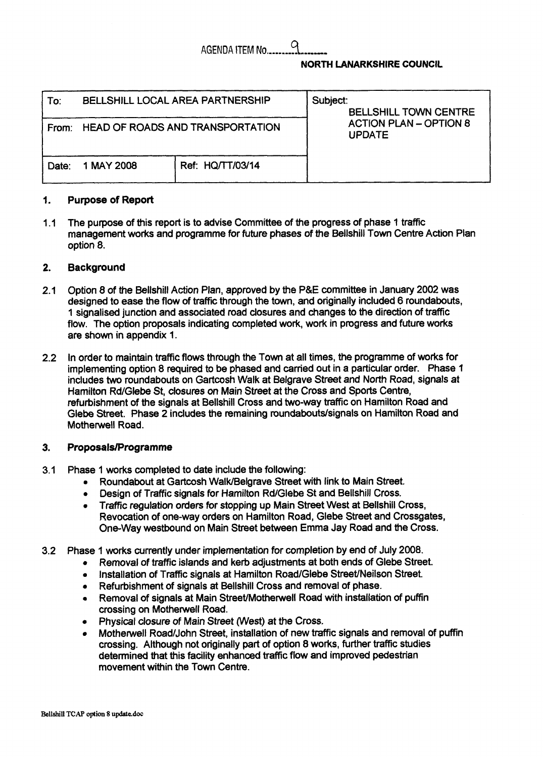# AGENDA ITEM **No l.\_\_.\_\_\_\_.**  9

## **NORTH LANARKSHIRE COUNCIL**

| AGENDA ITEM No.<br><b>NORTH LANARKSHIRE COUNCIL</b> |                                         |                  |                                                                                            |
|-----------------------------------------------------|-----------------------------------------|------------------|--------------------------------------------------------------------------------------------|
| To:                                                 | BELLSHILL LOCAL AREA PARTNERSHIP        |                  | Subject:<br><b>BELLSHILL TOWN CENTRE</b><br><b>ACTION PLAN - OPTION 8</b><br><b>UPDATE</b> |
| From:                                               | <b>HEAD OF ROADS AND TRANSPORTATION</b> |                  |                                                                                            |
| Date:                                               | 1 MAY 2008                              | Ref: HQ/TT/03/14 |                                                                                            |

#### **1. Purpose of Report**

 $11$ The purpose of this report is to advise Committee of the progress of phase 1 traffic management works and programme for future phases of the Bellshill Town Centre Action Plan option 8.

### 2. **Background**

- 2.1 Option 8 of the Bellshill Action Plan, approved by the **P&E** committee in January 2002 was designed to ease the flow of traffic through the town, and originally included 6 roundabouts, 1 signalised junction and associated road closures and changes to the direction of traffic flow. The option proposals indicating completed work, work in progress and future works are shown in appendix 1.
- 2.2 In order to maintain traffic flows through the Town at all times, the programme of works for implementing option 8 required **to** be phased and carried out in a particular order. Phase 'I includes two roundabouts on Gartcosh Walk at Belgrave Street and North Road, signals at Hamilton Rd/Glebe St, closures *on* Main Street at the Cross and Sports Centre, refurbishment of the signals at Bellshill Cross and two-way traffic on Hamilton Road and Glebe Street. Phase 2 includes the remaining mundabouts/signals on Hamilton Road and Motherwell Road.

### **3. ProposalslPrograrnme**

- 3.1 Phase 1 works completed to date include the following:
	- **Roundabout at Gartcosh Walk/Belgrave Street with link to Main Street.**
	- *<sup>0</sup>*Design of Traffic signals for Hamilton Rd/Glebe St and Bellshill Cross.
	- *0* Traffic regulation orders for stopping up Main Street West *at* Bellshill Cross, Revocation of one-way orders on Hamilton Road, Glebe Street and Crossgates, One-way westbound on Main Street between Emma Jay Road and the Cross.
- 3.2 Phase 1 **works** currently under implementation for completion by end of July 2008.
	- *0* Removal of traffic islands and kerb adjustments at both ends of Glebe Street.
	- **Installation of Traffic signals at Hamilton Road/Glebe Street/Neilson Street.**
	- *0* Refurbishment of signals **at** Bellshill Cross and removal of phase.
	- **Removal of signals at Main Street/Motherwell Road with installation of puffin** crossing on Motherwell Road.
	- *<sup>0</sup>*Physical *closure* of Main Street (West) at the Cross.
	- Motherwell Road/John Street, installation of new traffic signals and removal of puffin crossing. Although not originally part of option 8 works, further traffic studies determined that this facility enhanced traffic flow and improved pedestrian movement within the Town Centre.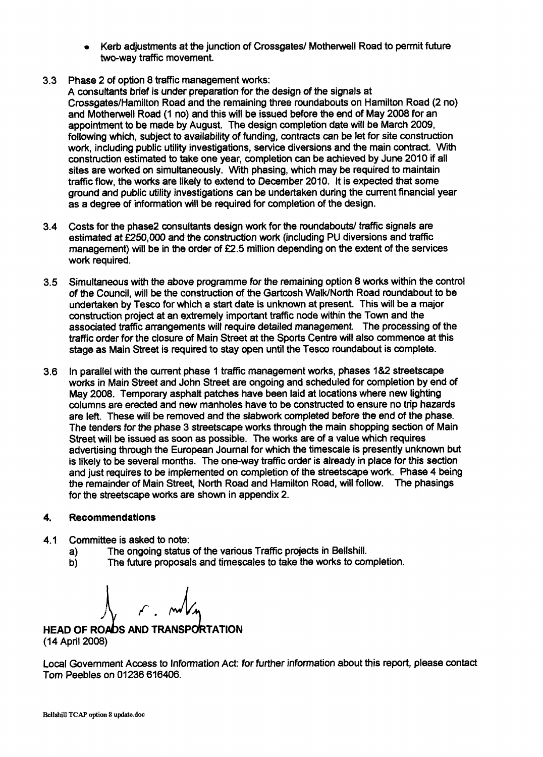- Kerb adjustments at the junction of Crossgates/ Motherwell Road to permit future two-way traffic movement.
- 3.3 Phase 2 of option **8** traffic management works:
	- A consultants brief is under preparation for the design of the signals at Crossgates/Hamilton Road and the remaining three roundabouts on Hamilton Road (2 no) and Mothewell Road (1 no) and this will be issued before the end of May 2008 for an appointment to be made by August. The design completion date will be March 2009, following which, subject to availability **of** funding, contracts can be let for site construction work, including public utility investigations, service diversions and the main contract. With construction estimated to take one year, completion can be achieved by June 2010 if all sites are worked on simultaneously. With phasing, which may be required to maintain traffic flow, the works are likely to extend to December 2010. It is expected that some ground and public utility investigations can be undertaken during the current financial year as a degree of information will be required for completion of the design.
- 3.4 Costs for the phase2 consultants design work for the roundabouts/ traffic signals are estimated at **f250,OOO** and the construction work (including PU diversions and traffic management) will be in the order of  $£2.5$  million depending on the extent of the services work required.
- **3.5**  Simultaneous with the above programme for the remaining option 8 **works** within the control of the Council, will be the construction **of** the Gartcosh WalWNorth Road roundabout to be undertaken by Tesco for which a start date is unknown at present. This will be a major construction project at an extremely important traffic node within the Town and the associated traffic arrangements will require detailed management. The processing of the traffic order for the closure of Main Street at the Sports Centre will also commence at this stage as Main Street is required to stay open until the Tesco roundabout is complete.
- 3.6 In parallel with the current phase 1 traffic management works, phases 184 streetscape works in Main Street and John Street are ongoing and scheduled for completion by end of May 2008. Temporary asphalt patches have been laid at locations where new lighting columns are erected and new manholes have to be constructed to ensure no trip hazards are left. These will **be** removed and the slabwork completed before the end of the phase. The tenders for the phase **3** streetscape works through the main shopping section of Main Street will be issued as soon as possible. The works are of a value which requires advertising through the European Journal for which the timescale is presently unknown but is likely to be several months. The one-way traffic order is already in place for this section and just requires to be implemented *on* completion of the streetscape work. Phase 4 being the remainder of Main Street, North Road and Hamilton Road, will follow. The phasings for the streetscape works are shown in appendix 2.

### 4. **Recommendations**

- 4.1 Committee is asked to note:
	- a) The ongoing status of the various Traffic projects in Bellshill.
	- b) The future proposals and timescales to take the works to completion.

**HEAD OF ROADS AND TRANSPORTATION** (14 April 2008)

Local Government Access to Information Act: for further information about this report, please contact Tom Peebles on 01236 616406.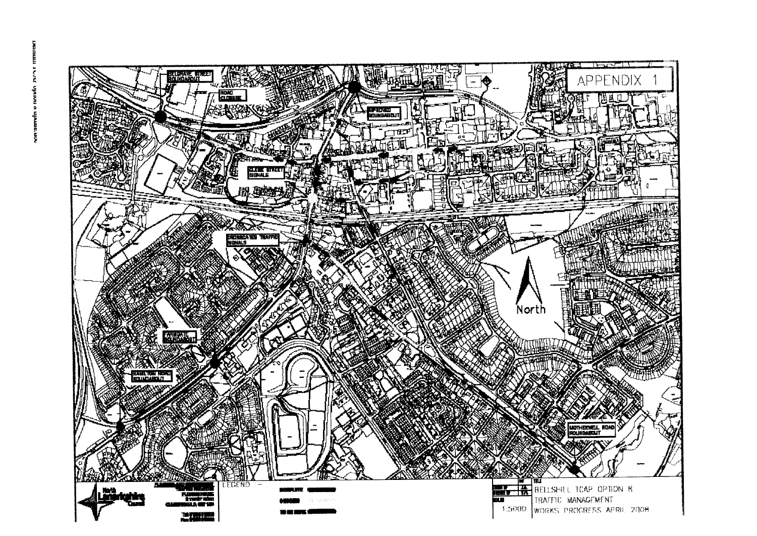